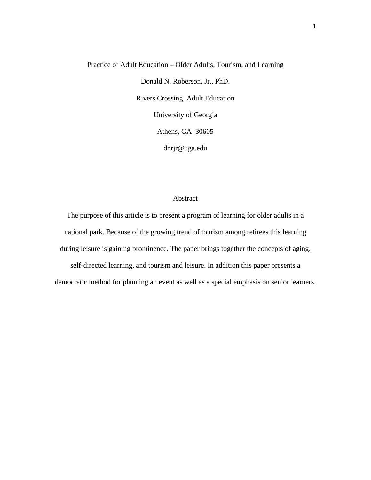# Practice of Adult Education – Older Adults, Tourism, and Learning Donald N. Roberson, Jr., PhD. Rivers Crossing, Adult Education University of Georgia Athens, GA 30605 dnrjr@uga.edu

## Abstract

The purpose of this article is to present a program of learning for older adults in a national park. Because of the growing trend of tourism among retirees this learning during leisure is gaining prominence. The paper brings together the concepts of aging, self-directed learning, and tourism and leisure. In addition this paper presents a democratic method for planning an event as well as a special emphasis on senior learners.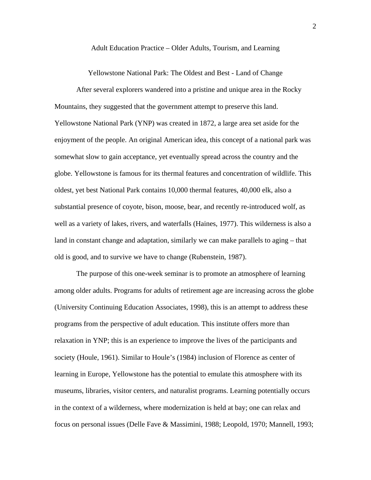Adult Education Practice – Older Adults, Tourism, and Learning

Yellowstone National Park: The Oldest and Best - Land of Change

 After several explorers wandered into a pristine and unique area in the Rocky Mountains, they suggested that the government attempt to preserve this land. Yellowstone National Park (YNP) was created in 1872, a large area set aside for the enjoyment of the people. An original American idea, this concept of a national park was somewhat slow to gain acceptance, yet eventually spread across the country and the globe. Yellowstone is famous for its thermal features and concentration of wildlife. This oldest, yet best National Park contains 10,000 thermal features, 40,000 elk, also a substantial presence of coyote, bison, moose, bear, and recently re-introduced wolf, as well as a variety of lakes, rivers, and waterfalls (Haines, 1977). This wilderness is also a land in constant change and adaptation, similarly we can make parallels to aging – that old is good, and to survive we have to change (Rubenstein, 1987).

The purpose of this one-week seminar is to promote an atmosphere of learning among older adults. Programs for adults of retirement age are increasing across the globe (University Continuing Education Associates, 1998), this is an attempt to address these programs from the perspective of adult education. This institute offers more than relaxation in YNP; this is an experience to improve the lives of the participants and society (Houle, 1961). Similar to Houle's (1984) inclusion of Florence as center of learning in Europe, Yellowstone has the potential to emulate this atmosphere with its museums, libraries, visitor centers, and naturalist programs. Learning potentially occurs in the context of a wilderness, where modernization is held at bay; one can relax and focus on personal issues (Delle Fave & Massimini, 1988; Leopold, 1970; Mannell, 1993;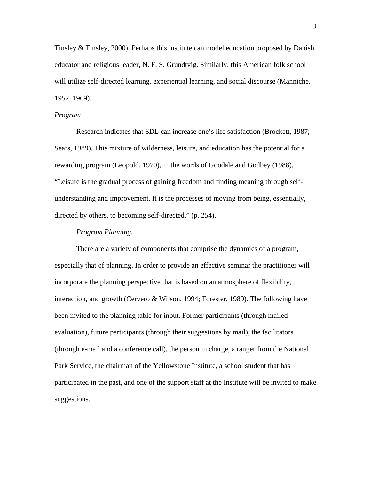Tinsley & Tinsley, 2000). Perhaps this institute can model education proposed by Danish educator and religious leader, N. F. S. Grundtvig. Similarly, this American folk school will utilize self-directed learning, experiential learning, and social discourse (Manniche, 1952, 1969).

#### *Program*

 Research indicates that SDL can increase one's life satisfaction (Brockett, 1987; Sears, 1989). This mixture of wilderness, leisure, and education has the potential for a rewarding program (Leopold, 1970), in the words of Goodale and Godbey (1988), "Leisure is the gradual process of gaining freedom and finding meaning through selfunderstanding and improvement. It is the processes of moving from being, essentially, directed by others, to becoming self-directed." (p. 254).

## *Program Planning.*

 There are a variety of components that comprise the dynamics of a program, especially that of planning. In order to provide an effective seminar the practitioner will incorporate the planning perspective that is based on an atmosphere of flexibility, interaction, and growth (Cervero & Wilson, 1994; Forester, 1989). The following have been invited to the planning table for input. Former participants (through mailed evaluation), future participants (through their suggestions by mail), the facilitators (through e-mail and a conference call), the person in charge, a ranger from the National Park Service, the chairman of the Yellowstone Institute, a school student that has participated in the past, and one of the support staff at the Institute will be invited to make suggestions.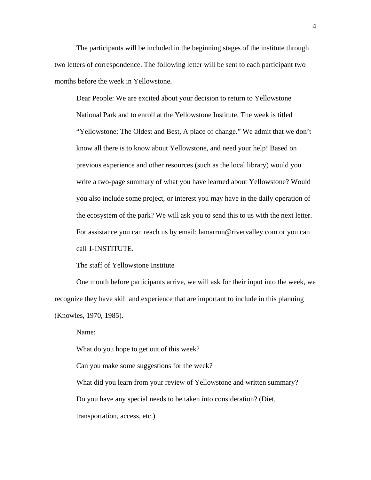The participants will be included in the beginning stages of the institute through two letters of correspondence. The following letter will be sent to each participant two months before the week in Yellowstone.

Dear People: We are excited about your decision to return to Yellowstone National Park and to enroll at the Yellowstone Institute. The week is titled "Yellowstone: The Oldest and Best, A place of change." We admit that we don't know all there is to know about Yellowstone, and need your help! Based on previous experience and other resources (such as the local library) would you write a two-page summary of what you have learned about Yellowstone? Would you also include some project, or interest you may have in the daily operation of the ecosystem of the park? We will ask you to send this to us with the next letter. For assistance you can reach us by email: lamarrun@rivervalley.com or you can call 1-INSTITUTE.

The staff of Yellowstone Institute

One month before participants arrive, we will ask for their input into the week, we recognize they have skill and experience that are important to include in this planning (Knowles, 1970, 1985).

Name:

What do you hope to get out of this week?

Can you make some suggestions for the week?

What did you learn from your review of Yellowstone and written summary? Do you have any special needs to be taken into consideration? (Diet, transportation, access, etc.)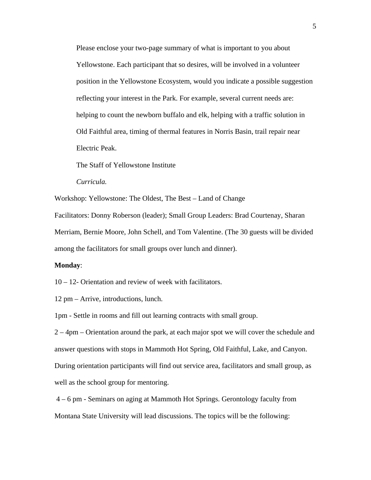Please enclose your two-page summary of what is important to you about Yellowstone. Each participant that so desires, will be involved in a volunteer position in the Yellowstone Ecosystem, would you indicate a possible suggestion reflecting your interest in the Park. For example, several current needs are: helping to count the newborn buffalo and elk, helping with a traffic solution in Old Faithful area, timing of thermal features in Norris Basin, trail repair near Electric Peak.

The Staff of Yellowstone Institute

*Curricula.* 

Workshop: Yellowstone: The Oldest, The Best – Land of Change

Facilitators: Donny Roberson (leader); Small Group Leaders: Brad Courtenay, Sharan Merriam, Bernie Moore, John Schell, and Tom Valentine. (The 30 guests will be divided among the facilitators for small groups over lunch and dinner).

#### **Monday**:

10 – 12- Orientation and review of week with facilitators.

12 pm – Arrive, introductions, lunch.

1pm - Settle in rooms and fill out learning contracts with small group.

2 – 4pm – Orientation around the park, at each major spot we will cover the schedule and answer questions with stops in Mammoth Hot Spring, Old Faithful, Lake, and Canyon. During orientation participants will find out service area, facilitators and small group, as well as the school group for mentoring.

 4 – 6 pm - Seminars on aging at Mammoth Hot Springs. Gerontology faculty from Montana State University will lead discussions. The topics will be the following: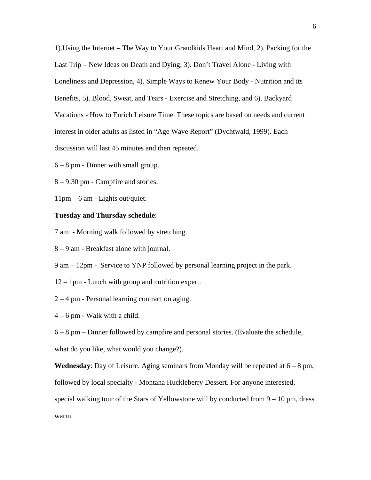1).Using the Internet – The Way to Your Grandkids Heart and Mind, 2). Packing for the Last Trip – New Ideas on Death and Dying, 3). Don't Travel Alone - Living with Loneliness and Depression, 4). Simple Ways to Renew Your Body - Nutrition and its Benefits, 5). Blood, Sweat, and Tears - Exercise and Stretching, and 6). Backyard Vacations - How to Enrich Leisure Time. These topics are based on needs and current interest in older adults as listed in "Age Wave Report" (Dychtwald, 1999). Each discussion will last 45 minutes and then repeated.

6 – 8 pm - Dinner with small group.

8 – 9:30 pm - Campfire and stories.

11pm – 6 am - Lights out/quiet.

## **Tuesday and Thursday schedule**:

7 am - Morning walk followed by stretching.

8 – 9 am - Breakfast alone with journal.

9 am – 12pm - Service to YNP followed by personal learning project in the park.

12 – 1pm - Lunch with group and nutrition expert.

2 – 4 pm - Personal learning contract on aging.

 $4 - 6$  pm - Walk with a child.

6 – 8 pm – Dinner followed by campfire and personal stories. (Evaluate the schedule, what do you like, what would you change?).

**Wednesday**: Day of Leisure. Aging seminars from Monday will be repeated at 6 – 8 pm, followed by local specialty - Montana Huckleberry Dessert. For anyone interested, special walking tour of the Stars of Yellowstone will by conducted from  $9 - 10$  pm, dress warm.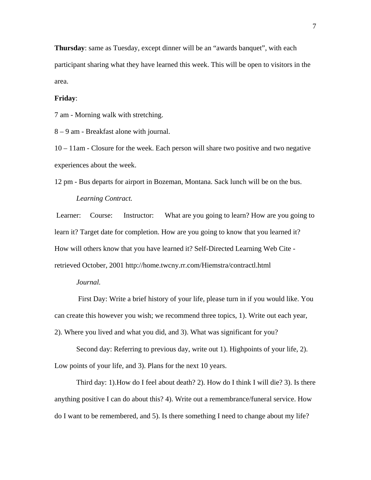**Thursday**: same as Tuesday, except dinner will be an "awards banquet", with each participant sharing what they have learned this week. This will be open to visitors in the area.

## **Friday**:

7 am - Morning walk with stretching.

8 – 9 am - Breakfast alone with journal.

10 – 11am - Closure for the week. Each person will share two positive and two negative experiences about the week.

12 pm - Bus departs for airport in Bozeman, Montana. Sack lunch will be on the bus.

# *Learning Contract.*

 Learner: Course: Instructor: What are you going to learn? How are you going to learn it? Target date for completion. How are you going to know that you learned it? How will others know that you have learned it? Self-Directed Learning Web Cite retrieved October, 2001 http://home.twcny.rr.com/Hiemstra/contractl.html

## *Journal.*

 First Day: Write a brief history of your life, please turn in if you would like. You can create this however you wish; we recommend three topics, 1). Write out each year, 2). Where you lived and what you did, and 3). What was significant for you?

Second day: Referring to previous day, write out 1). Highpoints of your life, 2). Low points of your life, and 3). Plans for the next 10 years.

Third day: 1).How do I feel about death? 2). How do I think I will die? 3). Is there anything positive I can do about this? 4). Write out a remembrance/funeral service. How do I want to be remembered, and 5). Is there something I need to change about my life?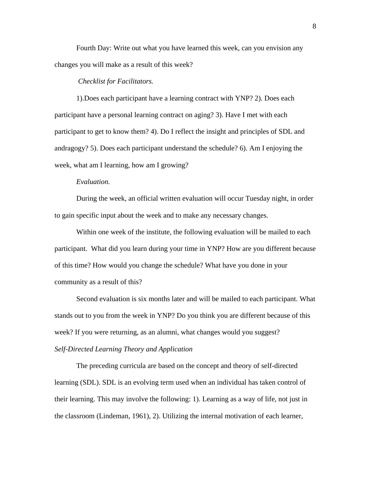Fourth Day: Write out what you have learned this week, can you envision any changes you will make as a result of this week?

#### *Checklist for Facilitators.*

1).Does each participant have a learning contract with YNP? 2). Does each participant have a personal learning contract on aging? 3). Have I met with each participant to get to know them? 4). Do I reflect the insight and principles of SDL and andragogy? 5). Does each participant understand the schedule? 6). Am I enjoying the week, what am I learning, how am I growing?

## *Evaluation.*

During the week, an official written evaluation will occur Tuesday night, in order to gain specific input about the week and to make any necessary changes.

Within one week of the institute, the following evaluation will be mailed to each participant. What did you learn during your time in YNP? How are you different because of this time? How would you change the schedule? What have you done in your community as a result of this?

Second evaluation is six months later and will be mailed to each participant. What stands out to you from the week in YNP? Do you think you are different because of this week? If you were returning, as an alumni, what changes would you suggest?

#### *Self-Directed Learning Theory and Application*

The preceding curricula are based on the concept and theory of self-directed learning (SDL). SDL is an evolving term used when an individual has taken control of their learning. This may involve the following: 1). Learning as a way of life, not just in the classroom (Lindeman, 1961), 2). Utilizing the internal motivation of each learner,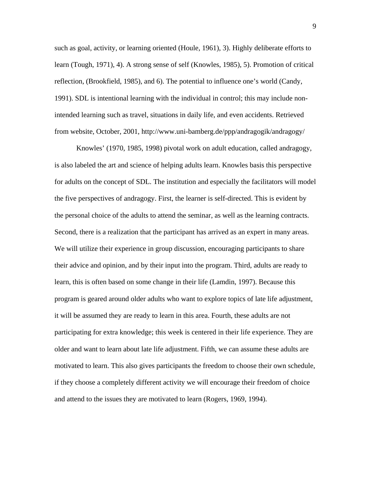such as goal, activity, or learning oriented (Houle, 1961), 3). Highly deliberate efforts to learn (Tough, 1971), 4). A strong sense of self (Knowles, 1985), 5). Promotion of critical reflection, (Brookfield, 1985), and 6). The potential to influence one's world (Candy, 1991). SDL is intentional learning with the individual in control; this may include nonintended learning such as travel, situations in daily life, and even accidents. Retrieved from website, October, 2001, http://www.uni-bamberg.de/ppp/andragogik/andragogy/

Knowles' (1970, 1985, 1998) pivotal work on adult education, called andragogy, is also labeled the art and science of helping adults learn. Knowles basis this perspective for adults on the concept of SDL. The institution and especially the facilitators will model the five perspectives of andragogy. First, the learner is self-directed. This is evident by the personal choice of the adults to attend the seminar, as well as the learning contracts. Second, there is a realization that the participant has arrived as an expert in many areas. We will utilize their experience in group discussion, encouraging participants to share their advice and opinion, and by their input into the program. Third, adults are ready to learn, this is often based on some change in their life (Lamdin, 1997). Because this program is geared around older adults who want to explore topics of late life adjustment, it will be assumed they are ready to learn in this area. Fourth, these adults are not participating for extra knowledge; this week is centered in their life experience. They are older and want to learn about late life adjustment. Fifth, we can assume these adults are motivated to learn. This also gives participants the freedom to choose their own schedule, if they choose a completely different activity we will encourage their freedom of choice and attend to the issues they are motivated to learn (Rogers, 1969, 1994).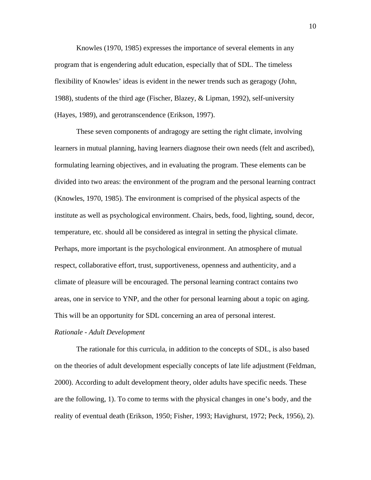Knowles (1970, 1985) expresses the importance of several elements in any program that is engendering adult education, especially that of SDL. The timeless flexibility of Knowles' ideas is evident in the newer trends such as geragogy (John, 1988), students of the third age (Fischer, Blazey, & Lipman, 1992), self-university (Hayes, 1989), and gerotranscendence (Erikson, 1997).

These seven components of andragogy are setting the right climate, involving learners in mutual planning, having learners diagnose their own needs (felt and ascribed), formulating learning objectives, and in evaluating the program. These elements can be divided into two areas: the environment of the program and the personal learning contract (Knowles, 1970, 1985). The environment is comprised of the physical aspects of the institute as well as psychological environment. Chairs, beds, food, lighting, sound, decor, temperature, etc. should all be considered as integral in setting the physical climate. Perhaps, more important is the psychological environment. An atmosphere of mutual respect, collaborative effort, trust, supportiveness, openness and authenticity, and a climate of pleasure will be encouraged. The personal learning contract contains two areas, one in service to YNP, and the other for personal learning about a topic on aging. This will be an opportunity for SDL concerning an area of personal interest.

#### *Rationale - Adult Development*

 The rationale for this curricula, in addition to the concepts of SDL, is also based on the theories of adult development especially concepts of late life adjustment (Feldman, 2000). According to adult development theory, older adults have specific needs. These are the following, 1). To come to terms with the physical changes in one's body, and the reality of eventual death (Erikson, 1950; Fisher, 1993; Havighurst, 1972; Peck, 1956), 2).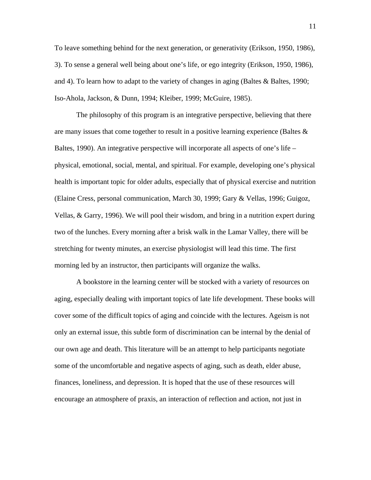To leave something behind for the next generation, or generativity (Erikson, 1950, 1986), 3). To sense a general well being about one's life, or ego integrity (Erikson, 1950, 1986), and 4). To learn how to adapt to the variety of changes in aging (Baltes & Baltes, 1990; Iso-Ahola, Jackson, & Dunn, 1994; Kleiber, 1999; McGuire, 1985).

 The philosophy of this program is an integrative perspective, believing that there are many issues that come together to result in a positive learning experience (Baltes  $\&$ Baltes, 1990). An integrative perspective will incorporate all aspects of one's life – physical, emotional, social, mental, and spiritual. For example, developing one's physical health is important topic for older adults, especially that of physical exercise and nutrition (Elaine Cress, personal communication, March 30, 1999; Gary & Vellas, 1996; Guigoz, Vellas, & Garry, 1996). We will pool their wisdom, and bring in a nutrition expert during two of the lunches. Every morning after a brisk walk in the Lamar Valley, there will be stretching for twenty minutes, an exercise physiologist will lead this time. The first morning led by an instructor, then participants will organize the walks.

 A bookstore in the learning center will be stocked with a variety of resources on aging, especially dealing with important topics of late life development. These books will cover some of the difficult topics of aging and coincide with the lectures. Ageism is not only an external issue, this subtle form of discrimination can be internal by the denial of our own age and death. This literature will be an attempt to help participants negotiate some of the uncomfortable and negative aspects of aging, such as death, elder abuse, finances, loneliness, and depression. It is hoped that the use of these resources will encourage an atmosphere of praxis, an interaction of reflection and action, not just in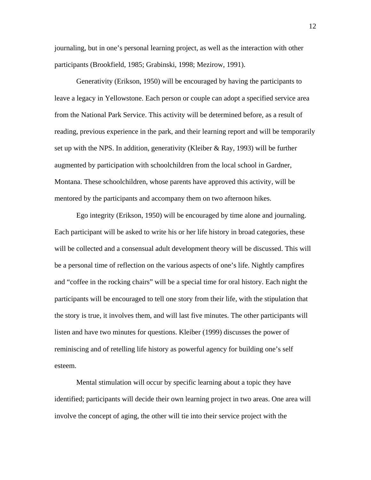journaling, but in one's personal learning project, as well as the interaction with other participants (Brookfield, 1985; Grabinski, 1998; Mezirow, 1991).

 Generativity (Erikson, 1950) will be encouraged by having the participants to leave a legacy in Yellowstone. Each person or couple can adopt a specified service area from the National Park Service. This activity will be determined before, as a result of reading, previous experience in the park, and their learning report and will be temporarily set up with the NPS. In addition, generativity (Kleiber & Ray, 1993) will be further augmented by participation with schoolchildren from the local school in Gardner, Montana. These schoolchildren, whose parents have approved this activity, will be mentored by the participants and accompany them on two afternoon hikes.

Ego integrity (Erikson, 1950) will be encouraged by time alone and journaling. Each participant will be asked to write his or her life history in broad categories, these will be collected and a consensual adult development theory will be discussed. This will be a personal time of reflection on the various aspects of one's life. Nightly campfires and "coffee in the rocking chairs" will be a special time for oral history. Each night the participants will be encouraged to tell one story from their life, with the stipulation that the story is true, it involves them, and will last five minutes. The other participants will listen and have two minutes for questions. Kleiber (1999) discusses the power of reminiscing and of retelling life history as powerful agency for building one's self esteem.

Mental stimulation will occur by specific learning about a topic they have identified; participants will decide their own learning project in two areas. One area will involve the concept of aging, the other will tie into their service project with the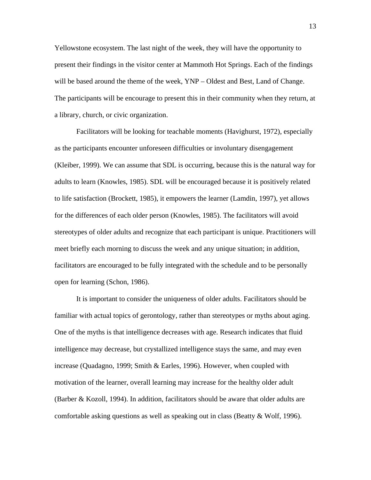Yellowstone ecosystem. The last night of the week, they will have the opportunity to present their findings in the visitor center at Mammoth Hot Springs. Each of the findings will be based around the theme of the week, YNP – Oldest and Best, Land of Change. The participants will be encourage to present this in their community when they return, at a library, church, or civic organization.

Facilitators will be looking for teachable moments (Havighurst, 1972), especially as the participants encounter unforeseen difficulties or involuntary disengagement (Kleiber, 1999). We can assume that SDL is occurring, because this is the natural way for adults to learn (Knowles, 1985). SDL will be encouraged because it is positively related to life satisfaction (Brockett, 1985), it empowers the learner (Lamdin, 1997), yet allows for the differences of each older person (Knowles, 1985). The facilitators will avoid stereotypes of older adults and recognize that each participant is unique. Practitioners will meet briefly each morning to discuss the week and any unique situation; in addition, facilitators are encouraged to be fully integrated with the schedule and to be personally open for learning (Schon, 1986).

It is important to consider the uniqueness of older adults. Facilitators should be familiar with actual topics of gerontology, rather than stereotypes or myths about aging. One of the myths is that intelligence decreases with age. Research indicates that fluid intelligence may decrease, but crystallized intelligence stays the same, and may even increase (Quadagno, 1999; Smith & Earles, 1996). However, when coupled with motivation of the learner, overall learning may increase for the healthy older adult (Barber & Kozoll, 1994). In addition, facilitators should be aware that older adults are comfortable asking questions as well as speaking out in class (Beatty & Wolf, 1996).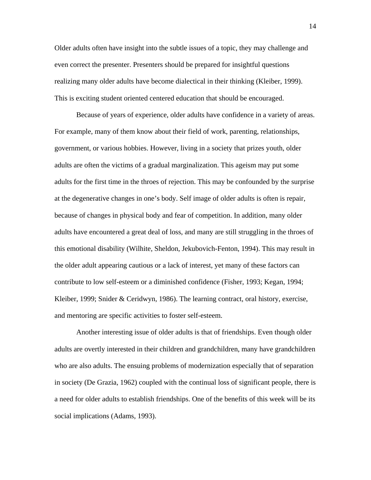Older adults often have insight into the subtle issues of a topic, they may challenge and even correct the presenter. Presenters should be prepared for insightful questions realizing many older adults have become dialectical in their thinking (Kleiber, 1999). This is exciting student oriented centered education that should be encouraged.

Because of years of experience, older adults have confidence in a variety of areas. For example, many of them know about their field of work, parenting, relationships, government, or various hobbies. However, living in a society that prizes youth, older adults are often the victims of a gradual marginalization. This ageism may put some adults for the first time in the throes of rejection. This may be confounded by the surprise at the degenerative changes in one's body. Self image of older adults is often is repair, because of changes in physical body and fear of competition. In addition, many older adults have encountered a great deal of loss, and many are still struggling in the throes of this emotional disability (Wilhite, Sheldon, Jekubovich-Fenton, 1994). This may result in the older adult appearing cautious or a lack of interest, yet many of these factors can contribute to low self-esteem or a diminished confidence (Fisher, 1993; Kegan, 1994; Kleiber, 1999; Snider & Ceridwyn, 1986). The learning contract, oral history, exercise, and mentoring are specific activities to foster self-esteem.

Another interesting issue of older adults is that of friendships. Even though older adults are overtly interested in their children and grandchildren, many have grandchildren who are also adults. The ensuing problems of modernization especially that of separation in society (De Grazia, 1962) coupled with the continual loss of significant people, there is a need for older adults to establish friendships. One of the benefits of this week will be its social implications (Adams, 1993).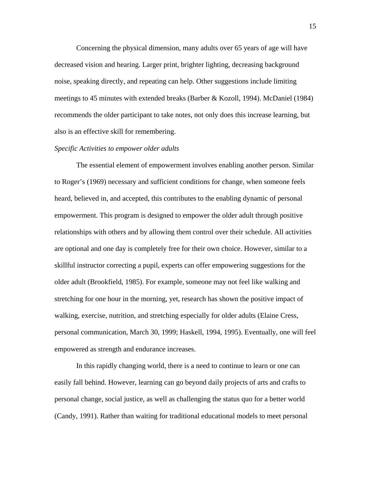Concerning the physical dimension, many adults over 65 years of age will have decreased vision and hearing. Larger print, brighter lighting, decreasing background noise, speaking directly, and repeating can help. Other suggestions include limiting meetings to 45 minutes with extended breaks (Barber & Kozoll, 1994). McDaniel (1984) recommends the older participant to take notes, not only does this increase learning, but also is an effective skill for remembering.

## *Specific Activities to empower older adults*

The essential element of empowerment involves enabling another person. Similar to Roger's (1969) necessary and sufficient conditions for change, when someone feels heard, believed in, and accepted, this contributes to the enabling dynamic of personal empowerment. This program is designed to empower the older adult through positive relationships with others and by allowing them control over their schedule. All activities are optional and one day is completely free for their own choice. However, similar to a skillful instructor correcting a pupil, experts can offer empowering suggestions for the older adult (Brookfield, 1985). For example, someone may not feel like walking and stretching for one hour in the morning, yet, research has shown the positive impact of walking, exercise, nutrition, and stretching especially for older adults (Elaine Cress, personal communication, March 30, 1999; Haskell, 1994, 1995). Eventually, one will feel empowered as strength and endurance increases.

 In this rapidly changing world, there is a need to continue to learn or one can easily fall behind. However, learning can go beyond daily projects of arts and crafts to personal change, social justice, as well as challenging the status quo for a better world (Candy, 1991). Rather than waiting for traditional educational models to meet personal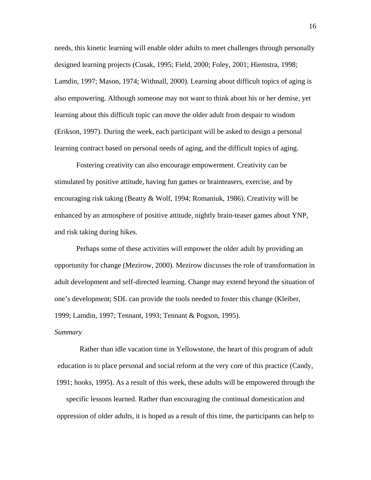needs, this kinetic learning will enable older adults to meet challenges through personally designed learning projects (Cusak, 1995; Field, 2000; Foley, 2001; Hiemstra, 1998; Lamdin, 1997; Mason, 1974; Withnall, 2000). Learning about difficult topics of aging is also empowering. Although someone may not want to think about his or her demise, yet learning about this difficult topic can move the older adult from despair to wisdom (Erikson, 1997). During the week, each participant will be asked to design a personal learning contract based on personal needs of aging, and the difficult topics of aging.

Fostering creativity can also encourage empowerment. Creativity can be stimulated by positive attitude, having fun games or brainteasers, exercise, and by encouraging risk taking (Beatty & Wolf, 1994; Romaniuk, 1986). Creativity will be enhanced by an atmosphere of positive attitude, nightly brain-teaser games about YNP, and risk taking during hikes.

Perhaps some of these activities will empower the older adult by providing an opportunity for change (Mezirow, 2000). Mezirow discusses the role of transformation in adult development and self-directed learning. Change may extend beyond the situation of one's development; SDL can provide the tools needed to foster this change (Kleiber, 1999; Lamdin, 1997; Tennant, 1993; Tennant & Pogson, 1995).

#### *Summary*

Rather than idle vacation time in Yellowstone, the heart of this program of adult education is to place personal and social reform at the very core of this practice (Candy, 1991; hooks, 1995). As a result of this week, these adults will be empowered through the

specific lessons learned. Rather than encouraging the continual domestication and oppression of older adults, it is hoped as a result of this time, the participants can help to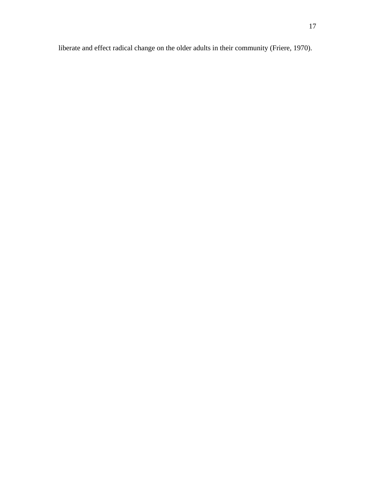liberate and effect radical change on the older adults in their community (Friere, 1970).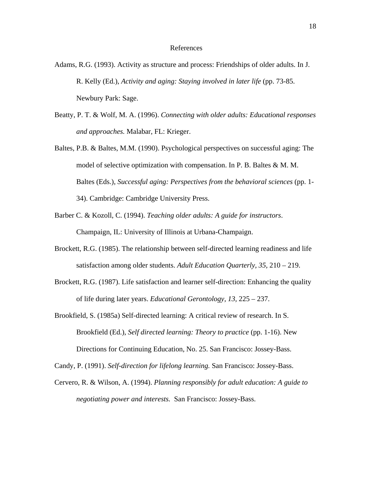#### References

- Adams, R.G. (1993). Activity as structure and process: Friendships of older adults. In J. R. Kelly (Ed.), *Activity and aging: Staying involved in later life* (pp. 73-85. Newbury Park: Sage.
- Beatty, P. T. & Wolf, M. A. (1996). *Connecting with older adults: Educational responses and approaches.* Malabar, FL: Krieger.
- Baltes, P.B. & Baltes, M.M. (1990). Psychological perspectives on successful aging: The model of selective optimization with compensation. In P. B. Baltes & M. M. Baltes (Eds.), *Successful aging: Perspectives from the behavioral sciences* (pp. 1- 34). Cambridge: Cambridge University Press.
- Barber C. & Kozoll, C. (1994). *Teaching older adults: A guide for instructors*. Champaign, IL: University of Illinois at Urbana-Champaign.
- Brockett, R.G. (1985). The relationship between self-directed learning readiness and life satisfaction among older students. *Adult Education Quarterly, 35,* 210 – 219.
- Brockett, R.G. (1987). Life satisfaction and learner self-direction: Enhancing the quality of life during later years. *Educational Gerontology, 13,* 225 – 237.
- Brookfield, S. (1985a) Self-directed learning: A critical review of research. In S. Brookfield (Ed.), *Self directed learning: Theory to practice* (pp. 1-16). New Directions for Continuing Education, No. 25. San Francisco: Jossey-Bass.
- Candy, P. (1991). *Self-direction for lifelong learning.* San Francisco: Jossey-Bass.
- Cervero, R. & Wilson, A. (1994). *Planning responsibly for adult education: A guide to negotiating power and interests.* San Francisco: Jossey-Bass.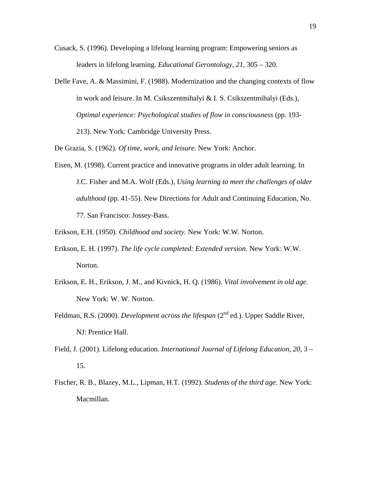- Cusack, S. (1996). Developing a lifelong learning program: Empowering seniors as leaders in lifelong learning. *Educational Gerontology, 21,* 305 – 320.
- Delle Fave, A. & Massimini, F. (1988). Modernization and the changing contexts of flow in work and leisure. In M. Csikszentmihalyi & I. S. Csikszentmihalyi (Eds.), *Optimal experience: Psychological studies of flow in consciousness* (pp. 193- 213). New York: Cambridge University Press.

De Grazia, S. (1962). *Of time, work, and leisure.* New York: Anchor.

- Eisen, M. (1998). Current practice and innovative programs in older adult learning. In J.C. Fisher and M.A. Wolf (Eds.), *Using learning to meet the challenges of older adulthood* (pp. 41-55). New Directions for Adult and Continuing Education, No. 77. San Francisco: Jossey-Bass.
- Erikson, E.H. (1950). *Childhood and society.* New York: W.W. Norton.
- Erikson, E. H. (1997). *The life cycle completed: Extended version.* New York: W.W. Norton.
- Erikson, E. H., Erikson, J. M., and Kivnick, H. Q. (1986). *Vital involvement in old age.*  New York: W. W. Norton.
- Feldman, R.S. (2000). *Development across the lifespan* (2<sup>nd</sup> ed.). Upper Saddle River, NJ: Prentice Hall.
- Field, J. (2001). Lifelong education. *International Journal of Lifelong Education, 20,* 3 15.
- Fischer, R. B., Blazey, M.L., Lipman, H.T. (1992). *Students of the third age.* New York: Macmillan.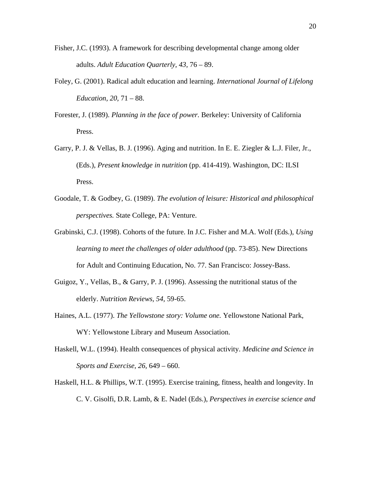- Fisher, J.C. (1993). A framework for describing developmental change among older adults. *Adult Education Quarterly, 43,* 76 – 89.
- Foley, G. (2001). Radical adult education and learning. *International Journal of Lifelong Education, 20,* 71 – 88.
- Forester, J. (1989). *Planning in the face of power.* Berkeley: University of California Press.
- Garry, P. J. & Vellas, B. J. (1996). Aging and nutrition. In E. E. Ziegler & L.J. Filer, Jr., (Eds.), *Present knowledge in nutrition* (pp. 414-419). Washington, DC: ILSI Press.
- Goodale, T. & Godbey, G. (1989). *The evolution of leisure: Historical and philosophical perspectives.* State College, PA: Venture.
- Grabinski, C.J. (1998). Cohorts of the future. In J.C. Fisher and M.A. Wolf (Eds.), *Using learning to meet the challenges of older adulthood* (pp. 73-85). New Directions for Adult and Continuing Education, No. 77. San Francisco: Jossey-Bass.
- Guigoz, Y., Vellas, B., & Garry, P. J. (1996). Assessing the nutritional status of the elderly. *Nutrition Reviews, 54,* 59-65.
- Haines, A.L. (1977). *The Yellowstone story: Volume one.* Yellowstone National Park, WY: Yellowstone Library and Museum Association.
- Haskell, W.L. (1994). Health consequences of physical activity. *Medicine and Science in Sports and Exercise, 26,* 649 – 660.
- Haskell, H.L. & Phillips, W.T. (1995). Exercise training, fitness, health and longevity. In C. V. Gisolfi, D.R. Lamb, & E. Nadel (Eds.), *Perspectives in exercise science and*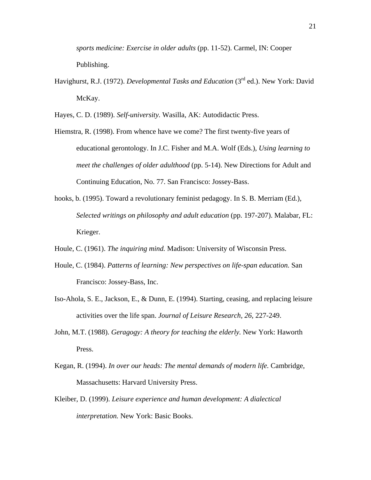*sports medicine: Exercise in older adults* (pp. 11-52). Carmel, IN: Cooper Publishing.

Havighurst, R.J. (1972). *Developmental Tasks and Education* (3rd ed.). New York: David McKay.

Hayes, C. D. (1989). *Self-university.* Wasilla, AK: Autodidactic Press.

- Hiemstra, R. (1998). From whence have we come? The first twenty-five years of educational gerontology. In J.C. Fisher and M.A. Wolf (Eds.), *Using learning to meet the challenges of older adulthood* (pp. 5-14). New Directions for Adult and Continuing Education, No. 77. San Francisco: Jossey-Bass.
- hooks, b. (1995). Toward a revolutionary feminist pedagogy. In S. B. Merriam (Ed.), *Selected writings on philosophy and adult education* (pp. 197-207). Malabar, FL: Krieger.
- Houle, C. (1961). *The inquiring mind.* Madison: University of Wisconsin Press.
- Houle, C. (1984). *Patterns of learning: New perspectives on life-span education.* San Francisco: Jossey-Bass, Inc.
- Iso-Ahola, S. E., Jackson, E., & Dunn, E. (1994). Starting, ceasing, and replacing leisure activities over the life span. *Journal of Leisure Research, 26,* 227-249.
- John, M.T. (1988). *Geragogy: A theory for teaching the elderly.* New York: Haworth Press.
- Kegan, R. (1994). *In over our heads: The mental demands of modern life.* Cambridge, Massachusetts: Harvard University Press.
- Kleiber, D. (1999). *Leisure experience and human development: A dialectical interpretation.* New York: Basic Books.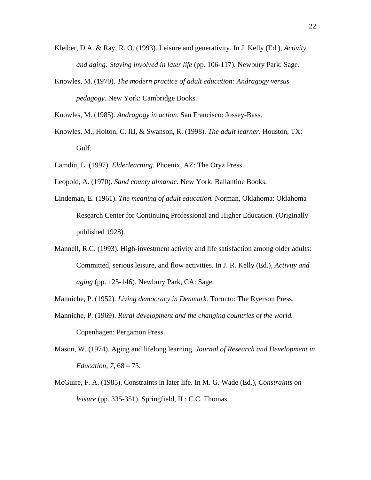- Kleiber, D.A. & Ray, R. O. (1993). Leisure and generativity. In J. Kelly (Ed.), *Activity and aging: Staying involved in later life* (pp. 106-117). Newbury Park: Sage.
- Knowles, M. (1970). *The modern practice of adult education: Andragogy versus pedagogy.* New York: Cambridge Books.

Knowles, M. (1985). *Andragogy in action.* San Francisco: Jossey-Bass.

- Knowles, M., Holton, C. III, & Swanson, R. (1998). *The adult learner.* Houston, TX: Gulf.
- Lamdin, L. (1997). *Elderlearning.* Phoenix, AZ: The Oryz Press.
- Leopold, A. (1970). *Sand county almanac.* New York: Ballantine Books.
- Lindeman, E. (1961). *The meaning of adult education.* Norman, Oklahoma: Oklahoma Research Center for Continuing Professional and Higher Education. (Originally published 1928).
- Mannell, R.C. (1993). High-investment activity and life satisfaction among older adults: Committed, serious leisure, and flow activities. In J. R. Kelly (Ed.), *Activity and aging* (pp. 125-146). Newbury Park, CA: Sage.
- Manniche, P. (1952). *Living democracy in Denmark.* Toronto: The Ryerson Press.
- Manniche, P. (1969). *Rural development and the changing countries of the world.*  Copenhagen: Pergamon Press.
- Mason, W. (1974). Aging and lifelong learning. *Journal of Research and Development in Education, 7,* 68 – 75.
- McGuire, F. A. (1985). Constraints in later life. In M. G. Wade (Ed.), *Constraints on leisure* (pp. 335-351). Springfield, IL: C.C. Thomas.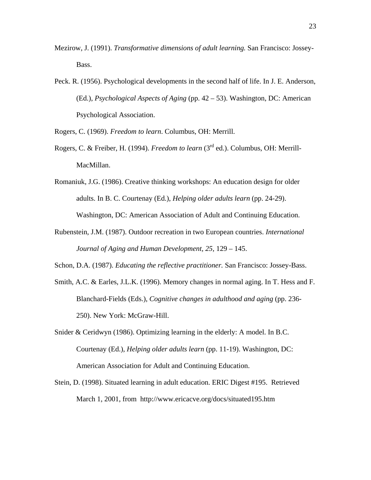- Mezirow, J. (1991). *Transformative dimensions of adult learning.* San Francisco: Jossey-Bass.
- Peck. R. (1956). Psychological developments in the second half of life. In J. E. Anderson, (Ed.), *Psychological Aspects of Aging* (pp. 42 – 53). Washington, DC: American Psychological Association.

Rogers, C. (1969). *Freedom to learn*. Columbus, OH: Merrill.

- Rogers, C. & Freiber, H. (1994). *Freedom to learn* (3rd ed.). Columbus, OH: Merrill-MacMillan.
- Romaniuk, J.G. (1986). Creative thinking workshops: An education design for older adults. In B. C. Courtenay (Ed.), *Helping older adults learn* (pp. 24-29). Washington, DC: American Association of Adult and Continuing Education.
- Rubenstein, J.M. (1987). Outdoor recreation in two European countries. *International Journal of Aging and Human Development, 25,* 129 – 145.
- Schon, D.A. (1987). *Educating the reflective practitioner.* San Francisco: Jossey-Bass.
- Smith, A.C. & Earles, J.L.K. (1996). Memory changes in normal aging. In T. Hess and F. Blanchard-Fields (Eds.), *Cognitive changes in adulthood and aging* (pp. 236- 250). New York: McGraw-Hill.
- Snider & Ceridwyn (1986). Optimizing learning in the elderly: A model. In B.C. Courtenay (Ed.), *Helping older adults learn* (pp. 11-19). Washington, DC: American Association for Adult and Continuing Education.
- Stein, D. (1998). Situated learning in adult education. ERIC Digest #195. Retrieved March 1, 2001, from http://www.ericacve.org/docs/situated195.htm